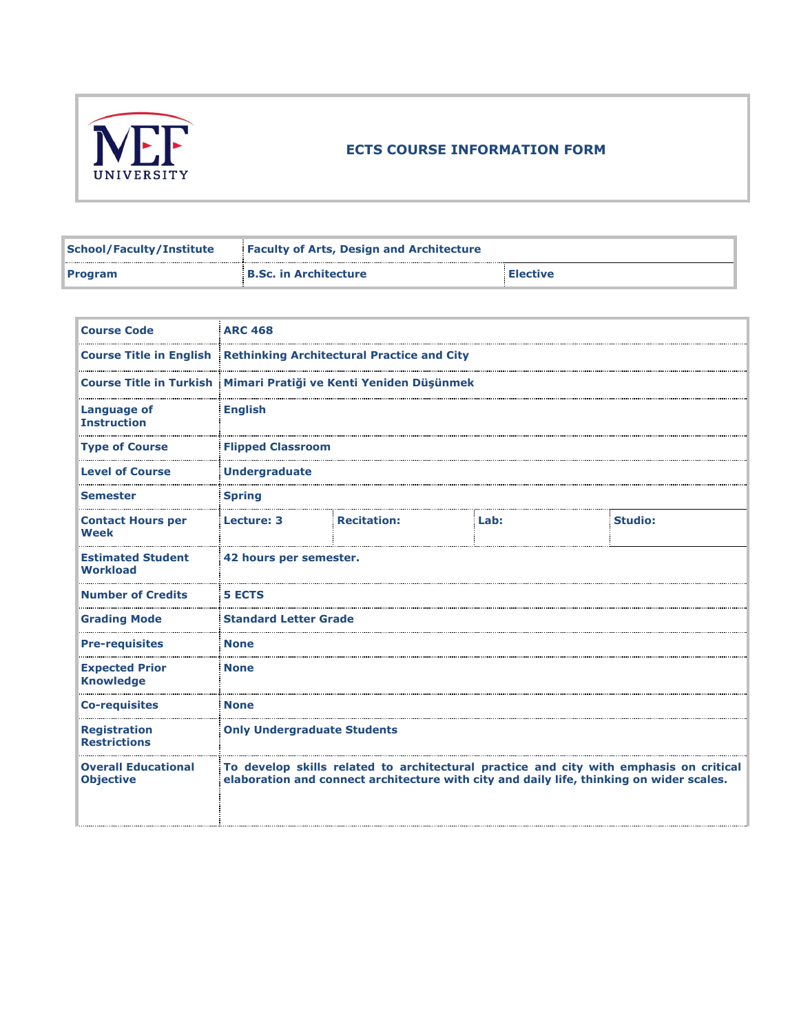

## **ECTS COURSE INFORMATION FORM**

| <b>School/Faculty/Institute</b> | <b>Faculty of Arts, Design and Architecture</b> |                 |  |
|---------------------------------|-------------------------------------------------|-----------------|--|
| <b>Program</b>                  | <b>B.Sc. in Architecture</b>                    | <b>Elective</b> |  |

| <b>Course Code</b>                             | <b>ARC 468</b>                                                            |                                                                                                                                                                                    |      |                |  |
|------------------------------------------------|---------------------------------------------------------------------------|------------------------------------------------------------------------------------------------------------------------------------------------------------------------------------|------|----------------|--|
|                                                | <b>Course Title in English Rethinking Architectural Practice and City</b> |                                                                                                                                                                                    |      |                |  |
| <b>Course Title in Turkish</b>                 |                                                                           | Mimari Pratiği ve Kenti Yeniden Düşünmek                                                                                                                                           |      |                |  |
| <b>Language of</b><br><b>Instruction</b>       | <b>English</b>                                                            |                                                                                                                                                                                    |      |                |  |
| <b>Type of Course</b>                          | <b>Flipped Classroom</b>                                                  |                                                                                                                                                                                    |      |                |  |
| <b>Level of Course</b>                         | <b>Undergraduate</b>                                                      |                                                                                                                                                                                    |      |                |  |
| <b>Semester</b>                                | <b>Spring</b>                                                             |                                                                                                                                                                                    |      |                |  |
| <b>Contact Hours per</b><br><b>Week</b>        | Lecture: 3                                                                | <b>Recitation:</b>                                                                                                                                                                 | Lab: | <b>Studio:</b> |  |
| <b>Estimated Student</b><br><b>Workload</b>    | 42 hours per semester.                                                    |                                                                                                                                                                                    |      |                |  |
| <b>Number of Credits</b>                       | <b>5 ECTS</b>                                                             |                                                                                                                                                                                    |      |                |  |
| <b>Grading Mode</b>                            | <b>Standard Letter Grade</b>                                              |                                                                                                                                                                                    |      |                |  |
| <b>Pre-requisites</b>                          | <b>None</b>                                                               |                                                                                                                                                                                    |      |                |  |
| <b>Expected Prior</b><br><b>Knowledge</b>      | <b>None</b>                                                               |                                                                                                                                                                                    |      |                |  |
| <b>Co-requisites</b>                           | <b>None</b>                                                               |                                                                                                                                                                                    |      |                |  |
| <b>Registration</b><br><b>Restrictions</b>     | <b>Only Undergraduate Students</b>                                        |                                                                                                                                                                                    |      |                |  |
| <b>Overall Educational</b><br><b>Objective</b> |                                                                           | To develop skills related to architectural practice and city with emphasis on critical<br>elaboration and connect architecture with city and daily life, thinking on wider scales. |      |                |  |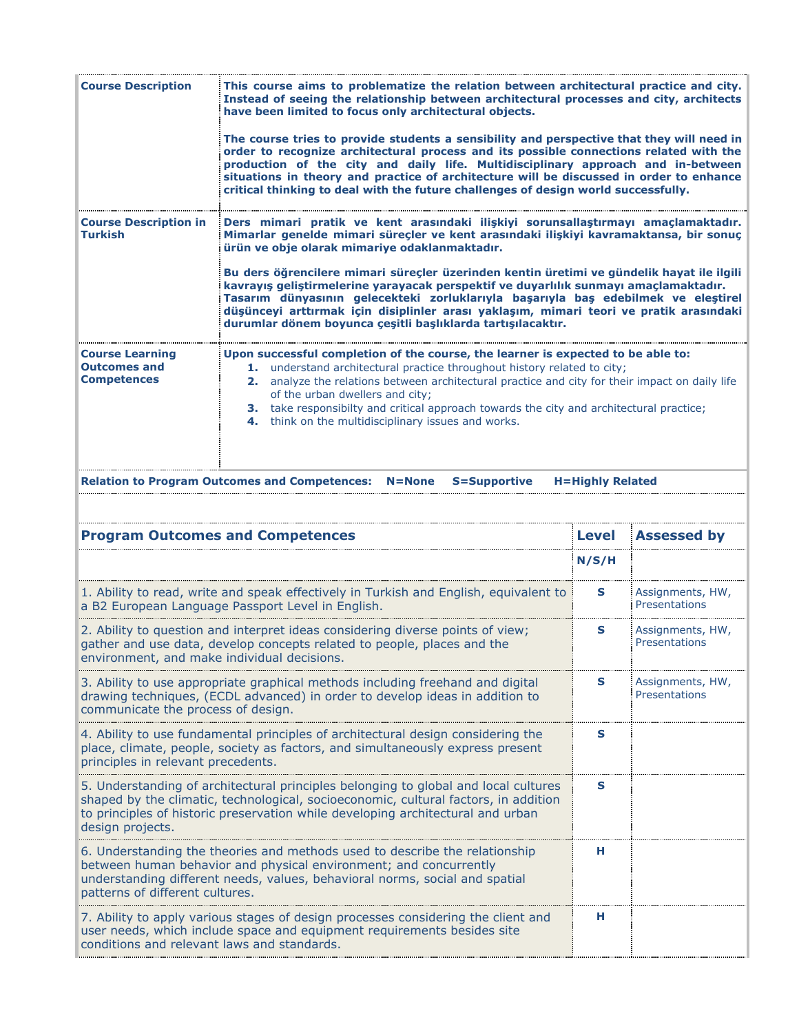| <b>Course Description</b>                                                                                                                                                                                                                                                         | This course aims to problematize the relation between architectural practice and city.<br>Instead of seeing the relationship between architectural processes and city, architects<br>have been limited to focus only architectural objects.                                                                                                                                                                                                                 |                                   |                    |  |  |  |  |
|-----------------------------------------------------------------------------------------------------------------------------------------------------------------------------------------------------------------------------------------------------------------------------------|-------------------------------------------------------------------------------------------------------------------------------------------------------------------------------------------------------------------------------------------------------------------------------------------------------------------------------------------------------------------------------------------------------------------------------------------------------------|-----------------------------------|--------------------|--|--|--|--|
|                                                                                                                                                                                                                                                                                   | The course tries to provide students a sensibility and perspective that they will need in<br>order to recognize architectural process and its possible connections related with the<br>production of the city and daily life. Multidisciplinary approach and in-between<br>situations in theory and practice of architecture will be discussed in order to enhance<br>critical thinking to deal with the future challenges of design world successfully.    |                                   |                    |  |  |  |  |
| <b>Course Description in</b><br>Turkish                                                                                                                                                                                                                                           | Ders mimari pratik ve kent arasındaki ilişkiyi sorunsallaştırmayı amaçlamaktadır.<br>Mimarlar genelde mimari süreçler ve kent arasındaki ilişkiyi kavramaktansa, bir sonuç<br>ürün ve obje olarak mimariye odaklanmaktadır.                                                                                                                                                                                                                                 |                                   |                    |  |  |  |  |
|                                                                                                                                                                                                                                                                                   | Bu ders öğrencilere mimari süreçler üzerinden kentin üretimi ve gündelik hayat ile ilgili<br>kavrayış geliştirmelerine yarayacak perspektif ve duyarlılık sunmayı amaçlamaktadır.<br>Tasarım dünyasının gelecekteki zorluklarıyla başarıyla baş edebilmek ve eleştirel<br>düşünceyi arttırmak için disiplinler arası yaklaşım, mimari teori ve pratik arasındaki<br>durumlar dönem boyunca çeşitli başlıklarda tartışılacaktır.                             |                                   |                    |  |  |  |  |
| <b>Course Learning</b><br><b>Outcomes and</b><br><b>Competences</b>                                                                                                                                                                                                               | Upon successful completion of the course, the learner is expected to be able to:<br>1. understand architectural practice throughout history related to city;<br>analyze the relations between architectural practice and city for their impact on daily life<br>2.<br>of the urban dwellers and city;<br>3. take responsibilty and critical approach towards the city and architectural practice;<br>think on the multidisciplinary issues and works.<br>4. |                                   |                    |  |  |  |  |
|                                                                                                                                                                                                                                                                                   | <b>Relation to Program Outcomes and Competences:</b><br>$N = None$<br>S=Supportive                                                                                                                                                                                                                                                                                                                                                                          | <b>H=Highly Related</b>           |                    |  |  |  |  |
|                                                                                                                                                                                                                                                                                   | <b>Program Outcomes and Competences</b>                                                                                                                                                                                                                                                                                                                                                                                                                     | Level                             | <b>Assessed by</b> |  |  |  |  |
|                                                                                                                                                                                                                                                                                   | N/S/H                                                                                                                                                                                                                                                                                                                                                                                                                                                       |                                   |                    |  |  |  |  |
| 1. Ability to read, write and speak effectively in Turkish and English, equivalent to<br>a B2 European Language Passport Level in English.                                                                                                                                        | s                                                                                                                                                                                                                                                                                                                                                                                                                                                           | Assignments, HW,<br>Presentations |                    |  |  |  |  |
| 2. Ability to question and interpret ideas considering diverse points of view;<br>gather and use data, develop concepts related to people, places and the<br>environment, and make individual decisions                                                                           | s                                                                                                                                                                                                                                                                                                                                                                                                                                                           | Assignments, HW,<br>Presentations |                    |  |  |  |  |
| 3. Ability to use appropriate graphical methods including freehand and digital<br>drawing techniques, (ECDL advanced) in order to develop ideas in addition to<br>communicate the process of design.                                                                              | s                                                                                                                                                                                                                                                                                                                                                                                                                                                           | Assignments, HW,<br>Presentations |                    |  |  |  |  |
| 4. Ability to use fundamental principles of architectural design considering the<br>place, climate, people, society as factors, and simultaneously express present<br>principles in relevant precedents.                                                                          | s                                                                                                                                                                                                                                                                                                                                                                                                                                                           |                                   |                    |  |  |  |  |
| 5. Understanding of architectural principles belonging to global and local cultures<br>shaped by the climatic, technological, socioeconomic, cultural factors, in addition<br>to principles of historic preservation while developing architectural and urban<br>design projects. | s                                                                                                                                                                                                                                                                                                                                                                                                                                                           |                                   |                    |  |  |  |  |
| 6. Understanding the theories and methods used to describe the relationship<br>between human behavior and physical environment; and concurrently<br>understanding different needs, values, behavioral norms, social and spatial<br>patterns of different cultures.                | н                                                                                                                                                                                                                                                                                                                                                                                                                                                           |                                   |                    |  |  |  |  |
| 7. Ability to apply various stages of design processes considering the client and<br>н<br>user needs, which include space and equipment requirements besides site<br>conditions and relevant laws and standards.                                                                  |                                                                                                                                                                                                                                                                                                                                                                                                                                                             |                                   |                    |  |  |  |  |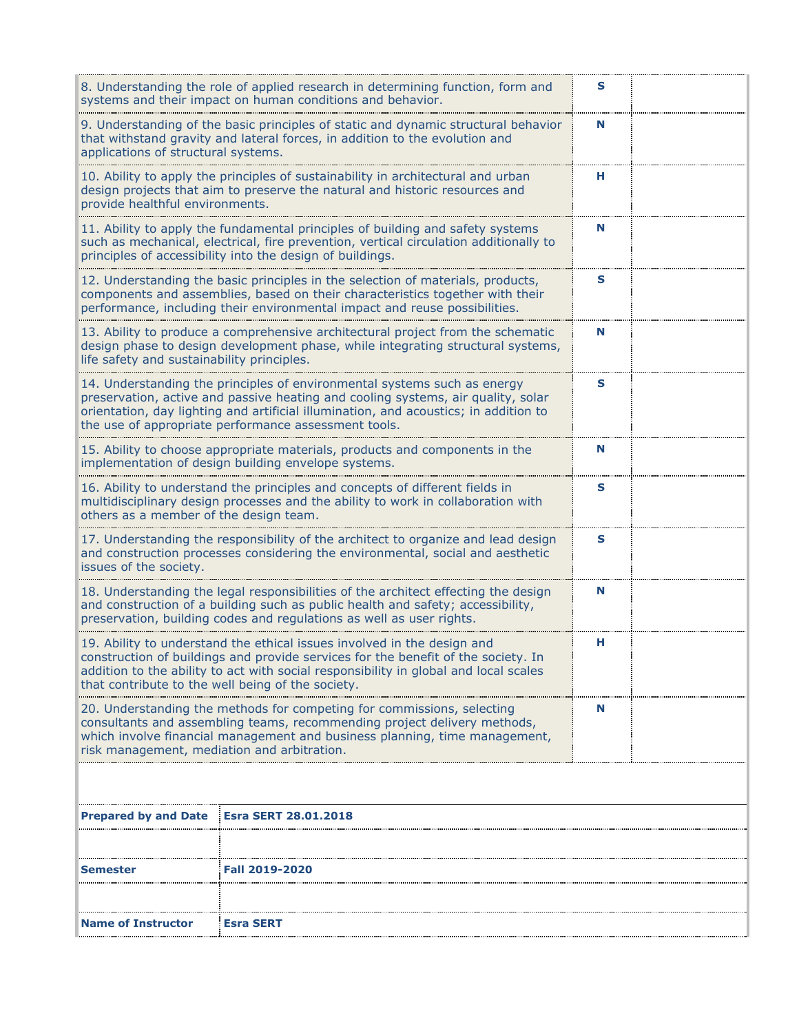| 8. Understanding the role of applied research in determining function, form and<br>systems and their impact on human conditions and behavior.                                                                                                                                                                  | s                                                                                                                                                                                                                                                                                                            |   |  |  |  |
|----------------------------------------------------------------------------------------------------------------------------------------------------------------------------------------------------------------------------------------------------------------------------------------------------------------|--------------------------------------------------------------------------------------------------------------------------------------------------------------------------------------------------------------------------------------------------------------------------------------------------------------|---|--|--|--|
| 9. Understanding of the basic principles of static and dynamic structural behavior<br>that withstand gravity and lateral forces, in addition to the evolution and<br>applications of structural systems.                                                                                                       | N                                                                                                                                                                                                                                                                                                            |   |  |  |  |
| 10. Ability to apply the principles of sustainability in architectural and urban<br>design projects that aim to preserve the natural and historic resources and<br>provide healthful environments.                                                                                                             | н                                                                                                                                                                                                                                                                                                            |   |  |  |  |
|                                                                                                                                                                                                                                                                                                                | 11. Ability to apply the fundamental principles of building and safety systems<br>such as mechanical, electrical, fire prevention, vertical circulation additionally to<br>principles of accessibility into the design of buildings.                                                                         | N |  |  |  |
|                                                                                                                                                                                                                                                                                                                | 12. Understanding the basic principles in the selection of materials, products,<br>components and assemblies, based on their characteristics together with their<br>performance, including their environmental impact and reuse possibilities.                                                               | s |  |  |  |
| life safety and sustainability principles.                                                                                                                                                                                                                                                                     | 13. Ability to produce a comprehensive architectural project from the schematic<br>design phase to design development phase, while integrating structural systems,                                                                                                                                           | N |  |  |  |
|                                                                                                                                                                                                                                                                                                                | 14. Understanding the principles of environmental systems such as energy<br>preservation, active and passive heating and cooling systems, air quality, solar<br>orientation, day lighting and artificial illumination, and acoustics; in addition to<br>the use of appropriate performance assessment tools. | S |  |  |  |
|                                                                                                                                                                                                                                                                                                                | 15. Ability to choose appropriate materials, products and components in the<br>implementation of design building envelope systems.                                                                                                                                                                           | N |  |  |  |
| 16. Ability to understand the principles and concepts of different fields in<br>multidisciplinary design processes and the ability to work in collaboration with<br>others as a member of the design team.                                                                                                     | S                                                                                                                                                                                                                                                                                                            |   |  |  |  |
| 17. Understanding the responsibility of the architect to organize and lead design<br>and construction processes considering the environmental, social and aesthetic<br>issues of the society.                                                                                                                  | s                                                                                                                                                                                                                                                                                                            |   |  |  |  |
| 18. Understanding the legal responsibilities of the architect effecting the design<br>N<br>and construction of a building such as public health and safety; accessibility,<br>preservation, building codes and regulations as well as user rights.                                                             |                                                                                                                                                                                                                                                                                                              |   |  |  |  |
| 19. Ability to understand the ethical issues involved in the design and<br>н<br>construction of buildings and provide services for the benefit of the society. In<br>addition to the ability to act with social responsibility in global and local scales<br>that contribute to the well being of the society. |                                                                                                                                                                                                                                                                                                              |   |  |  |  |
| 20. Understanding the methods for competing for commissions, selecting<br>N<br>consultants and assembling teams, recommending project delivery methods,<br>which involve financial management and business planning, time management,<br>risk management, mediation and arbitration.                           |                                                                                                                                                                                                                                                                                                              |   |  |  |  |
|                                                                                                                                                                                                                                                                                                                |                                                                                                                                                                                                                                                                                                              |   |  |  |  |
| <b>Prepared by and Date</b>                                                                                                                                                                                                                                                                                    | <b>Esra SERT 28.01.2018</b>                                                                                                                                                                                                                                                                                  |   |  |  |  |
|                                                                                                                                                                                                                                                                                                                |                                                                                                                                                                                                                                                                                                              |   |  |  |  |
| Semester                                                                                                                                                                                                                                                                                                       | <b>Fall 2019-2020</b>                                                                                                                                                                                                                                                                                        |   |  |  |  |
|                                                                                                                                                                                                                                                                                                                | Esra SERT<br><b>Name of Instructor</b>                                                                                                                                                                                                                                                                       |   |  |  |  |
|                                                                                                                                                                                                                                                                                                                |                                                                                                                                                                                                                                                                                                              |   |  |  |  |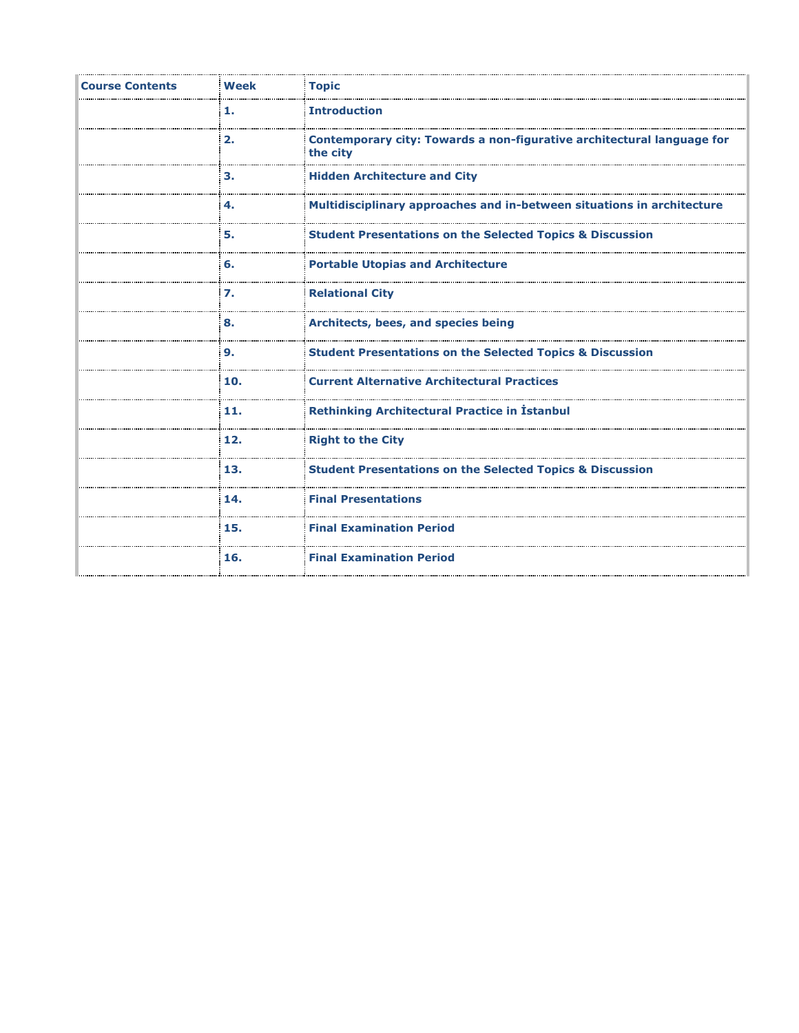| <b>Course Contents</b> | <b>Week</b> | <b>Topic</b>                                                                       |
|------------------------|-------------|------------------------------------------------------------------------------------|
|                        | 1.          | <b>Introduction</b>                                                                |
|                        | 2.          | Contemporary city: Towards a non-figurative architectural language for<br>the city |
|                        | З.          | <b>Hidden Architecture and City</b>                                                |
|                        | 4.          | Multidisciplinary approaches and in-between situations in architecture             |
|                        | 5.          | <b>Student Presentations on the Selected Topics &amp; Discussion</b>               |
|                        | 6.          | <b>Portable Utopias and Architecture</b>                                           |
|                        | 7.          | <b>Relational City</b>                                                             |
|                        | 8.          | Architects, bees, and species being                                                |
|                        | 9.          | <b>Student Presentations on the Selected Topics &amp; Discussion</b>               |
|                        | 10.         | <b>Current Alternative Architectural Practices</b>                                 |
|                        | 11.         | <b>Rethinking Architectural Practice in Istanbul</b>                               |
|                        | 12.         | <b>Right to the City</b>                                                           |
|                        | 13.         | <b>Student Presentations on the Selected Topics &amp; Discussion</b>               |
|                        | 14.         | <b>Final Presentations</b>                                                         |
|                        | 15.         | <b>Final Examination Period</b>                                                    |
|                        | 16.         | <b>Final Examination Period</b>                                                    |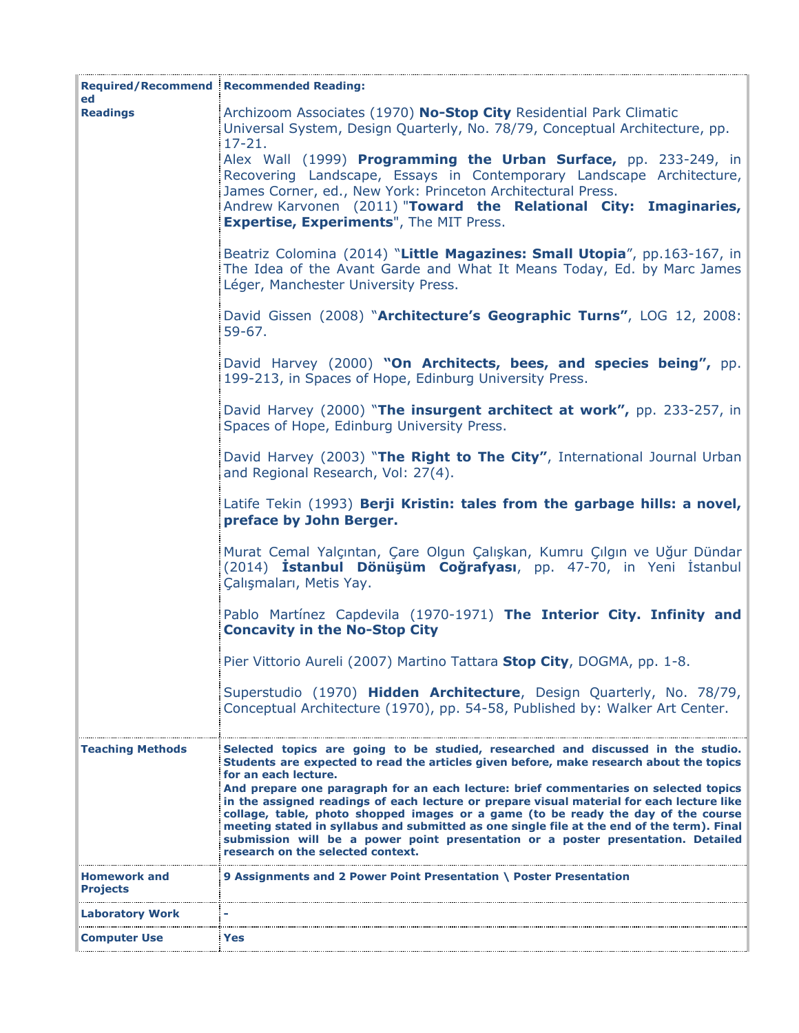| ed                                     | <b>Required/Recommend Recommended Reading:</b>                                                                                                                                                                                                                                                                                                                                                                                                                                                                                                                                                                                                                                                       |
|----------------------------------------|------------------------------------------------------------------------------------------------------------------------------------------------------------------------------------------------------------------------------------------------------------------------------------------------------------------------------------------------------------------------------------------------------------------------------------------------------------------------------------------------------------------------------------------------------------------------------------------------------------------------------------------------------------------------------------------------------|
| <b>Readings</b>                        | Archizoom Associates (1970) No-Stop City Residential Park Climatic<br>Universal System, Design Quarterly, No. 78/79, Conceptual Architecture, pp.<br>$17 - 21.$                                                                                                                                                                                                                                                                                                                                                                                                                                                                                                                                      |
|                                        | Alex Wall (1999) Programming the Urban Surface, pp. 233-249, in<br>Recovering Landscape, Essays in Contemporary Landscape Architecture,<br>James Corner, ed., New York: Princeton Architectural Press.<br>Andrew Karvonen (2011) "Toward the Relational City: Imaginaries,<br><b>Expertise, Experiments", The MIT Press.</b>                                                                                                                                                                                                                                                                                                                                                                         |
|                                        | Beatriz Colomina (2014) "Little Magazines: Small Utopia", pp.163-167, in<br>The Idea of the Avant Garde and What It Means Today, Ed. by Marc James<br>Léger, Manchester University Press.                                                                                                                                                                                                                                                                                                                                                                                                                                                                                                            |
|                                        | David Gissen (2008) "Architecture's Geographic Turns", LOG 12, 2008:<br>$59-67.$                                                                                                                                                                                                                                                                                                                                                                                                                                                                                                                                                                                                                     |
|                                        | David Harvey (2000) "On Architects, bees, and species being", pp.<br>199-213, in Spaces of Hope, Edinburg University Press.                                                                                                                                                                                                                                                                                                                                                                                                                                                                                                                                                                          |
|                                        | David Harvey (2000) "The insurgent architect at work", pp. 233-257, in<br>Spaces of Hope, Edinburg University Press.                                                                                                                                                                                                                                                                                                                                                                                                                                                                                                                                                                                 |
|                                        | David Harvey (2003) "The Right to The City", International Journal Urban<br>and Regional Research, Vol: 27(4).                                                                                                                                                                                                                                                                                                                                                                                                                                                                                                                                                                                       |
|                                        | Latife Tekin (1993) Berji Kristin: tales from the garbage hills: a novel,<br>preface by John Berger.                                                                                                                                                                                                                                                                                                                                                                                                                                                                                                                                                                                                 |
|                                        | Murat Cemal Yalçıntan, Çare Olgun Çalışkan, Kumru Çılgın ve Uğur Dündar<br>(2014) <b>İstanbul Dönüşüm Coğrafyası</b> , pp. 47-70, in Yeni İstanbul<br>Çalışmaları, Metis Yay.                                                                                                                                                                                                                                                                                                                                                                                                                                                                                                                        |
|                                        | Pablo Martínez Capdevila (1970-1971) The Interior City. Infinity and<br><b>Concavity in the No-Stop City</b>                                                                                                                                                                                                                                                                                                                                                                                                                                                                                                                                                                                         |
|                                        | Pier Vittorio Aureli (2007) Martino Tattara Stop City, DOGMA, pp. 1-8.                                                                                                                                                                                                                                                                                                                                                                                                                                                                                                                                                                                                                               |
|                                        | Superstudio (1970) Hidden Architecture, Design Quarterly, No. 78/79,<br>Conceptual Architecture (1970), pp. 54-58, Published by: Walker Art Center.                                                                                                                                                                                                                                                                                                                                                                                                                                                                                                                                                  |
| <b>Teaching Methods</b>                | Selected topics are going to be studied, researched and discussed in the studio.<br>Students are expected to read the articles given before, make research about the topics<br>for an each lecture.<br>And prepare one paragraph for an each lecture: brief commentaries on selected topics<br>in the assigned readings of each lecture or prepare visual material for each lecture like<br>collage, table, photo shopped images or a game (to be ready the day of the course<br>meeting stated in syllabus and submitted as one single file at the end of the term). Final<br>submission will be a power point presentation or a poster presentation. Detailed<br>research on the selected context. |
| <b>Homework and</b><br><b>Projects</b> | 9 Assignments and 2 Power Point Presentation \ Poster Presentation                                                                                                                                                                                                                                                                                                                                                                                                                                                                                                                                                                                                                                   |
| <b>Laboratory Work</b>                 |                                                                                                                                                                                                                                                                                                                                                                                                                                                                                                                                                                                                                                                                                                      |
| <b>Computer Use</b>                    | Yes                                                                                                                                                                                                                                                                                                                                                                                                                                                                                                                                                                                                                                                                                                  |